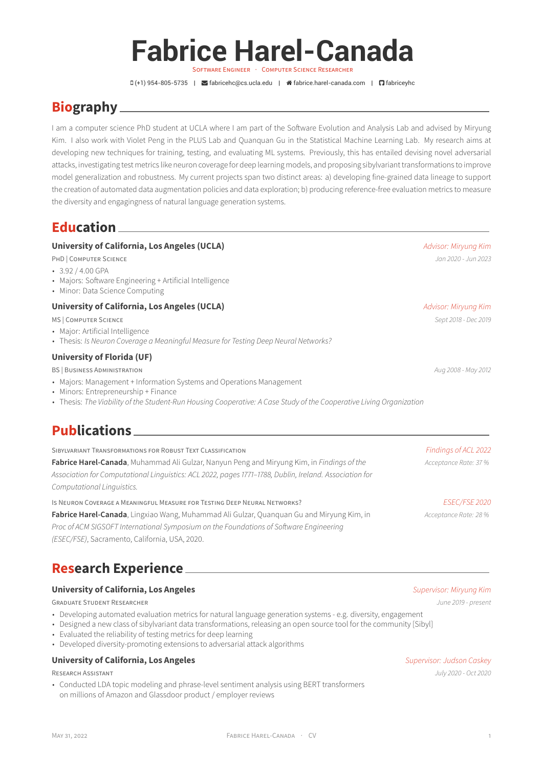# **Fabrice Harel-Canada**

SOFTWARE ENGINEER · COMPUTER SCIENCE RESEARCHER

(+1) 954-805-5735 | [fabricehc@cs.ucla.edu](mailto:fabricehc@cs.ucla.edu) | [fabrice.harel-canada.com](http://fabrice.harel-canada.com) | [fabriceyhc](https://github.com/fabriceyhc)

# **Biography**

I am a computer science PhD student at UCLA where I am part of the [Software Evolution and Analysis Lab](http://web.cs.ucla.edu/~miryung/research.html) and advised by [Miryung](http://web.cs.ucla.edu/~miryung/) [Kim](http://web.cs.ucla.edu/~miryung/). I also work with [Violet Peng](https://vnpeng.net/) in the [PLUS Lab](https://vnpeng.net/members/) and [Quanquan Gu](http://web.cs.ucla.edu/~qgu/) in the [Statistical Machine Learning Lab](https://www.uclaml.org/). My research aims at developing new techniques for training, testing, and evaluating ML systems. Previously, this has entailed devising novel adversarial attacks, investigating test metrics like neuron coverage for deep learning models, and proposing sibylvariant transformations to improve model generalization and robustness. My current projects span two distinct areas: a) developing fine-grained data lineage to support the creation of automated data augmentation policies and data exploration; b) producing reference-free evaluation metrics to measure the diversity and engagingness of natural language generation systems.

# **Education**

#### **University of California, Los Angeles (UCLA)** *Advisor: Miryung Kim*

PHD | COMPUTER SCIENCE *Jan 2020 - Jun 2023*

- 3.92 / 4.00 GPA
- Majors: Software Engineering + Artificial Intelligence
- Minor: Data Science Computing

#### **University of California, Los Angeles (UCLA)** *Advisor: Miryung Kim*

MS | COMPUTER SCIENCE *Sept 2018 - Dec 2019*

- Major: Artificial Intelligence
- Thesis: *Is Neuron Coverage a Meaningful Measure for Testing Deep Neural Networks?*

#### **University of Florida (UF)**

BS | BUSINESS ADMINISTRATION *Aug 2008 - May 2012*

- Majors: Management + Information Systems and Operations Management
- Minors: Entrepreneurship + Finance
- Thesis: *The Viability of the Student-Run Housing Cooperative: A Case Study of the Cooperative Living Organization*

# **Publications**

| SIBYLVARIANT TRANSFORMATIONS FOR ROBUST TEXT CLASSIFICATION                                            | Findings of ACL 2022  |
|--------------------------------------------------------------------------------------------------------|-----------------------|
| Fabrice Harel-Canada, Muhammad Ali Gulzar, Nanyun Peng and Miryung Kim, in Findings of the             | Acceptance Rate: 37 % |
| Association for Computational Linquistics: ACL 2022, pages 1771-1788, Dublin, Ireland. Association for |                       |
| Computational Linguistics.                                                                             |                       |
| IS NEURON COVERAGE A MEANINGFUL MEASURE FOR TESTING DEEP NEURAL NETWORKS?                              | <b>ESEC/FSE 2020</b>  |
| Fabrice Harel-Canada, Lingxiao Wang, Muhammad Ali Gulzar, Quanquan Gu and Miryung Kim, in              | Acceptance Rate: 28 % |
| Proc of ACM SIGSOFT International Symposium on the Foundations of Software Engineering                 |                       |

*(ESEC/FSE)*, Sacramento, California, USA, 2020.

# **Research Experience**

#### **University of California, Los Angeles** *Supervisor: Miryung Kim*

GRADUATE STUDENT RESEARCHER *June 2019 - present*

- Developing automated evaluation metrics for natural language generation systems e.g. diversity, engagement
- Designed a new class of sibylvariant data transformations, releasing an open source tool for the community [Sibyl]
- Evaluated the reliability of testing metrics for deep learning
- Developed diversity-promoting extensions to adversarial attack algorithms

#### **University of California, Los Angeles** *Supervisor: Judson Caskey*

• Conducted LDA topic modeling and phrase-level sentiment analysis using BERT transformers on millions of Amazon and Glassdoor product / employer reviews

RESEARCH ASSISTANT *July 2020 - Oct 2020*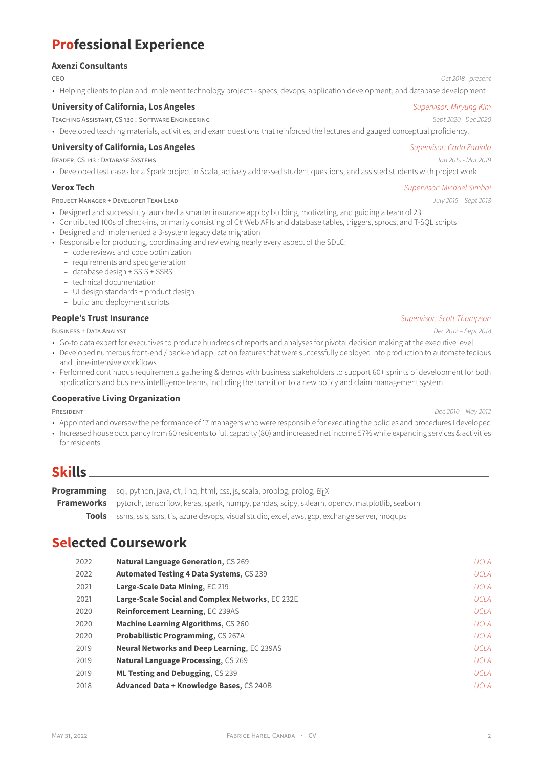# **Professional Experience**

### **Axenzi Consultants**

CEO *Oct 2018 - present*

• Helping clients to plan and implement technology projects - specs, devops, application development, and database development

### **University of California, Los Angeles** *Supervisor: Miryung Kim*

TEACHING ASSISTANT, CS 130 : SOFTWARE ENGINEERING *Sept 2020 - Dec 2020*

• Developed teaching materials, activities, and exam questions that reinforced the lectures and gauged conceptual proficiency.

### **University of California, Los Angeles** *Supervisor: Carlo Zaniolo*

READER, CS 143 : DATABASE SYSTEMS *Jan 2019 - Mar 2019*

• Developed test cases for a Spark project in Scala, actively addressed student questions, and assisted students with project work

PROJECT MANAGER + DEVELOPER TEAM LEAD *July 2015 – Sept 2018*

- Designed and successfully launched a smarter insurance app by building, motivating, and guiding a team of 23
- Contributed 100s of check-ins, primarily consisting of C# Web APIs and database tables, triggers, sprocs, and T-SQL scripts
- Designed and implemented a 3-system legacy data migration
- Responsible for producing, coordinating and reviewing nearly every aspect of the SDLC:
	- **–** code reviews and code optimization
	- **–** requirements and spec generation
	- **–** database design + SSIS + SSRS
	- **–** technical documentation
	- **–** UI design standards + product design
	- **–** build and deployment scripts

#### **People's Trust Insurance** *Supervisor: Scott Thompson*

BUSINESS + DATA ANALYST *Dec 2012 – Sept 2018*

- Go-to data expert for executives to produce hundreds of reports and analyses for pivotal decision making at the executive level
- Developed numerous front-end / back-end application features that were successfully deployed into production to automate tedious and time-intensive workflows
- Performed continuous requirements gathering & demos with business stakeholders to support 60+ sprints of development for both applications and business intelligence teams, including the transition to a new policy and claim management system

#### **Cooperative Living Organization**

PRESIDENT *Dec 2010 – May 2012*

- Appointed and oversaw the performance of 17 managers who were responsible for executing the policies and procedures I developed
- Increased house occupancy from 60 residents to full capacity (80) and increased net income 57% while expanding services & activities for residents

# **Skills**

**Programming** sql, python, java, c#, ling, html, css, js, scala, problog, prolog, LTFX **Frameworks** pytorch, tensorflow, keras, spark, numpy, pandas, scipy, sklearn, opency, matplotlib, seaborn **Tools** ssms, ssis, ssrs, tfs, azure devops, visual studio, excel, aws, gcp, exchange server, moqups

# **Selected Coursework**

| 2022 | <b>Natural Language Generation, CS 269</b>         | <b>UCLA</b> |
|------|----------------------------------------------------|-------------|
| 2022 | <b>Automated Testing 4 Data Systems, CS 239</b>    | <b>UCLA</b> |
| 2021 | Large-Scale Data Mining, EC 219                    | <b>UCLA</b> |
| 2021 | Large-Scale Social and Complex Networks, EC 232E   | <b>UCLA</b> |
| 2020 | <b>Reinforcement Learning, EC 239AS</b>            | <b>UCLA</b> |
| 2020 | <b>Machine Learning Algorithms, CS 260</b>         | <b>UCLA</b> |
| 2020 | <b>Probabilistic Programming, CS 267A</b>          | <b>UCLA</b> |
| 2019 | <b>Neural Networks and Deep Learning, EC 239AS</b> | <b>UCLA</b> |
| 2019 | <b>Natural Language Processing, CS 269</b>         | <b>UCLA</b> |
| 2019 | ML Testing and Debugging, CS 239                   | <b>UCLA</b> |
| 2018 | Advanced Data + Knowledge Bases, CS 240B           | UCLA        |
|      |                                                    |             |

#### **Verox Tech** *Supervisor: Michael Simhai*